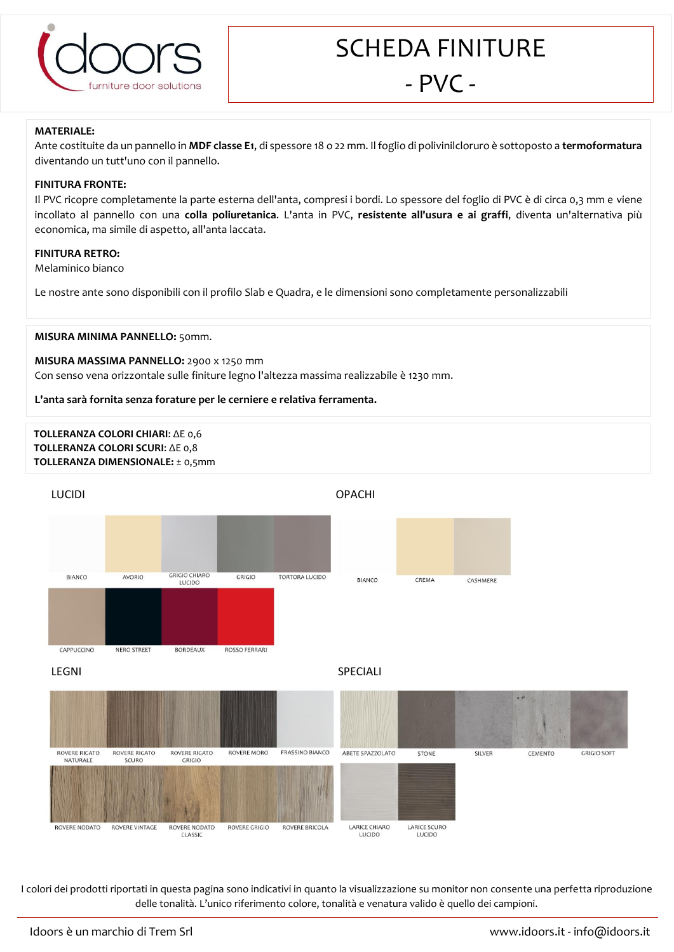

SCHEDA FINITURE

# - PVC -

### **MATERIALE:**

Ante costituite da un pannello in **MDF classe E1**, di spessore 18 o 22 mm. Il foglio di polivinilcloruro è sottoposto a **termoformatura** diventando un tutt'uno con il pannello.

## **FINITURA FRONTE:**

Il PVC ricopre completamente la parte esterna dell'anta, compresi i bordi. Lo spessore del foglio di PVC è di circa 0,3 mm e viene incollato al pannello con una **colla poliuretanica**. L'anta in PVC, **resistente all'usura e ai graffi**, diventa un'alternativa più economica, ma simile di aspetto, all'anta laccata.

#### **FINITURA RETRO:**

Melaminico bianco

Le nostre ante sono disponibili con il profilo Slab e Quadra, e le dimensioni sono completamente personalizzabili

#### **MISURA MINIMA PANNELLO:** 50mm.

#### **MISURA MASSIMA PANNELLO:** 2900 x 1250 mm

Con senso vena orizzontale sulle finiture legno l'altezza massima realizzabile è 1230 mm.

#### **L'anta sarà fornita senza forature per le cerniere e relativa ferramenta.**

# **TOLLERANZA COLORI CHIARI**: ΔE 0,6 **TOLLERANZA COLORI SCURI**: ΔE 0,8 **TOLLERANZA DIMENSIONALE:** ± 0,5mm



I colori dei prodotti riportati in questa pagina sono indicativi in quanto la visualizzazione su monitor non consente una perfetta riproduzione delle tonalità. L'unico riferimento colore, tonalità e venatura valido è quello dei campioni.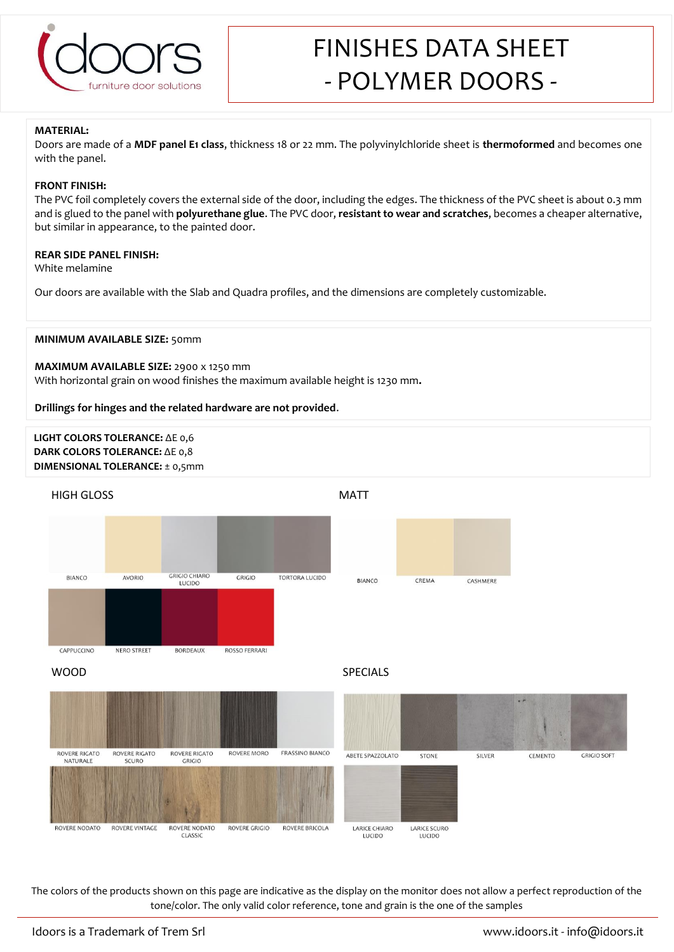

# FINISHES DATA SHEET - POLYMER DOORS -

#### **MATERIAL:**

Doors are made of a **MDF panel E1 class**, thickness 18 or 22 mm. The polyvinylchloride sheet is **thermoformed** and becomes one with the panel.

#### **FRONT FINISH:**

The PVC foil completely covers the external side of the door, including the edges. The thickness of the PVC sheet is about 0.3 mm and is glued to the panel with **polyurethane glue**. The PVC door, **resistant to wear and scratches**, becomes a cheaper alternative, but similar in appearance, to the painted door.

# **REAR SIDE PANEL FINISH:**

White melamine

Our doors are available with the Slab and Quadra profiles, and the dimensions are completely customizable.

#### **MINIMUM AVAILABLE SIZE:** 50mm

#### **MAXIMUM AVAILABLE SIZE:** 2900 x 1250 mm

With horizontal grain on wood finishes the maximum available height is 1230 mm**.**

#### **Drillings for hinges and the related hardware are not provided**.

# **LIGHT COLORS TOLERANCE:** ΔE 0,6 **DARK COLORS TOLERANCE:** ΔE 0,8 **DIMENSIONAL TOLERANCE:** ± 0,5mm



The colors of the products shown on this page are indicative as the display on the monitor does not allow a perfect reproduction of the tone/color. The only valid color reference, tone and grain is the one of the samples